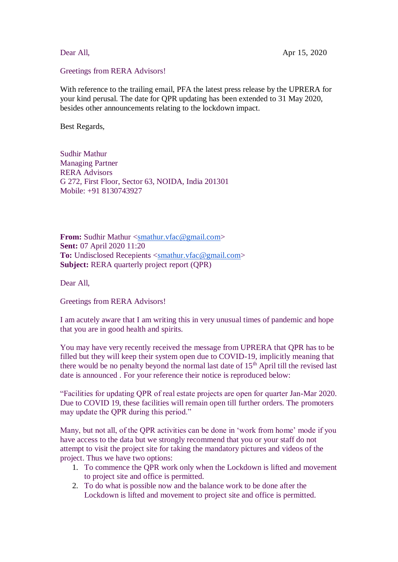## Greetings from RERA Advisors!

With reference to the trailing email, PFA the latest press release by the UPRERA for your kind perusal. The date for QPR updating has been extended to 31 May 2020, besides other announcements relating to the lockdown impact.

Best Regards,

Sudhir Mathur Managing Partner RERA Advisors G 272, First Floor, Sector 63, NOIDA, India 201301 Mobile: +91 8130743927

**From:** Sudhir Mathur [<smathur.vfac@gmail.com>](mailto:smathur.vfac@gmail.com#sent/_blank) **Sent:** 07 April 2020 11:20 To: Undisclosed Recepients [<smathur.vfac@gmail.com>](mailto:smathur.vfac@gmail.com#sent/_blank) **Subject:** RERA quarterly project report (QPR)

Dear All,

Greetings from RERA Advisors!

I am acutely aware that I am writing this in very unusual times of pandemic and hope that you are in good health and spirits.

You may have very recently received the message from UPRERA that QPR has to be filled but they will keep their system open due to COVID-19, implicitly meaning that there would be no penalty beyond the normal last date of  $15<sup>th</sup>$  April till the revised last date is announced . For your reference their notice is reproduced below:

"Facilities for updating QPR of real estate projects are open for quarter Jan-Mar 2020. Due to COVID 19, these facilities will remain open till further orders. The promoters may update the QPR during this period."

Many, but not all, of the QPR activities can be done in 'work from home' mode if you have access to the data but we strongly recommend that you or your staff do not attempt to visit the project site for taking the mandatory pictures and videos of the project. Thus we have two options:

- 1. To commence the QPR work only when the Lockdown is lifted and movement to project site and office is permitted.
- 2. To do what is possible now and the balance work to be done after the Lockdown is lifted and movement to project site and office is permitted.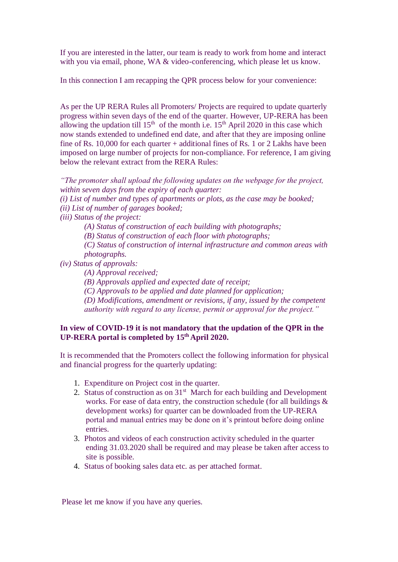If you are interested in the latter, our team is ready to work from home and interact with you via email, phone, WA & video-conferencing, which please let us know.

In this connection I am recapping the QPR process below for your convenience:

As per the UP RERA Rules all Promoters/ Projects are required to update quarterly progress within seven days of the end of the quarter. However, UP-RERA has been allowing the updation till  $15<sup>th</sup>$  of the month i.e.  $15<sup>th</sup>$  April 2020 in this case which now stands extended to undefined end date, and after that they are imposing online fine of Rs. 10,000 for each quarter + additional fines of Rs. 1 or 2 Lakhs have been imposed on large number of projects for non-compliance. For reference, I am giving below the relevant extract from the RERA Rules:

*"The promoter shall upload the following updates on the webpage for the project, within seven days from the expiry of each quarter:*

*(i) List of number and types of apartments or plots, as the case may be booked; (ii) List of number of garages booked;*

*(iii) Status of the project:*

*(A) Status of construction of each building with photographs;*

*(B) Status of construction of each floor with photographs;*

*(C) Status of construction of internal infrastructure and common areas with photographs.*

*(iv) Status of approvals:*

*(A) Approval received;*

*(B) Approvals applied and expected date of receipt;*

*(C) Approvals to be applied and date planned for application;*

*(D) Modifications, amendment or revisions, if any, issued by the competent authority with regard to any license, permit or approval for the project."*

## **In view of COVID-19 it is not mandatory that the updation of the QPR in the UP-RERA portal is completed by 15 th April 2020.**

It is recommended that the Promoters collect the following information for physical and financial progress for the quarterly updating:

- 1. Expenditure on Project cost in the quarter.
- 2. Status of construction as on  $31<sup>st</sup>$  March for each building and Development works. For ease of data entry, the construction schedule (for all buildings & development works) for quarter can be downloaded from the UP-RERA portal and manual entries may be done on it's printout before doing online entries.
- 3. Photos and videos of each construction activity scheduled in the quarter ending 31.03.2020 shall be required and may please be taken after access to site is possible.
- 4. Status of booking sales data etc. as per attached format.

Please let me know if you have any queries.